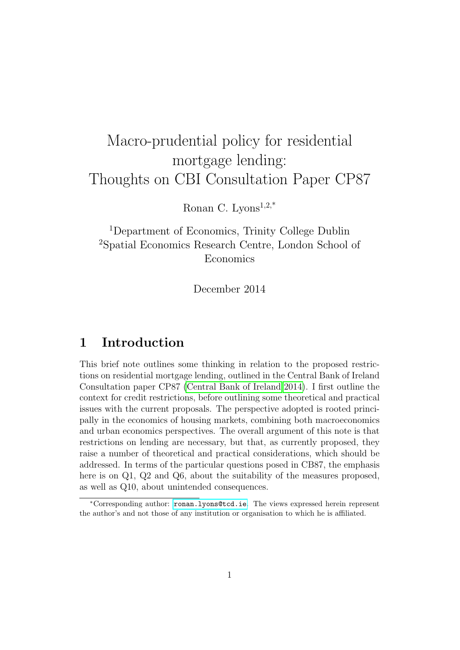# Macro-prudential policy for residential mortgage lending: Thoughts on CBI Consultation Paper CP87

Ronan C. Lyons<sup>1,2,\*</sup>

<sup>1</sup>Department of Economics, Trinity College Dublin <sup>2</sup>Spatial Economics Research Centre, London School of Economics

December 2014

## 1 Introduction

This brief note outlines some thinking in relation to the proposed restrictions on residential mortgage lending, outlined in the Central Bank of Ireland Consultation paper CP87 [\(Central Bank of Ireland 2014\)](#page-7-0). I first outline the context for credit restrictions, before outlining some theoretical and practical issues with the current proposals. The perspective adopted is rooted principally in the economics of housing markets, combining both macroeconomics and urban economics perspectives. The overall argument of this note is that restrictions on lending are necessary, but that, as currently proposed, they raise a number of theoretical and practical considerations, which should be addressed. In terms of the particular questions posed in CB87, the emphasis here is on Q1, Q2 and Q6, about the suitability of the measures proposed, as well as Q10, about unintended consequences.

<sup>∗</sup>Corresponding author: <ronan.lyons@tcd.ie>. The views expressed herein represent the author's and not those of any institution or organisation to which he is affiliated.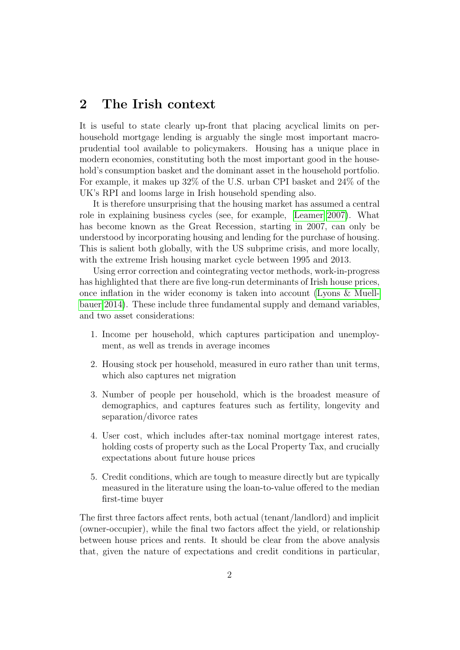## 2 The Irish context

It is useful to state clearly up-front that placing acyclical limits on perhousehold mortgage lending is arguably the single most important macroprudential tool available to policymakers. Housing has a unique place in modern economies, constituting both the most important good in the household's consumption basket and the dominant asset in the household portfolio. For example, it makes up 32% of the U.S. urban CPI basket and 24% of the UK's RPI and looms large in Irish household spending also.

It is therefore unsurprising that the housing market has assumed a central role in explaining business cycles (see, for example, [Leamer 2007\)](#page-7-1). What has become known as the Great Recession, starting in 2007, can only be understood by incorporating housing and lending for the purchase of housing. This is salient both globally, with the US subprime crisis, and more locally, with the extreme Irish housing market cycle between 1995 and 2013.

Using error correction and cointegrating vector methods, work-in-progress has highlighted that there are five long-run determinants of Irish house prices, once inflation in the wider economy is taken into account [\(Lyons & Muell](#page-7-2)[bauer 2014\)](#page-7-2). These include three fundamental supply and demand variables, and two asset considerations:

- 1. Income per household, which captures participation and unemployment, as well as trends in average incomes
- 2. Housing stock per household, measured in euro rather than unit terms, which also captures net migration
- 3. Number of people per household, which is the broadest measure of demographics, and captures features such as fertility, longevity and separation/divorce rates
- 4. User cost, which includes after-tax nominal mortgage interest rates, holding costs of property such as the Local Property Tax, and crucially expectations about future house prices
- 5. Credit conditions, which are tough to measure directly but are typically measured in the literature using the loan-to-value offered to the median first-time buyer

The first three factors affect rents, both actual (tenant/landlord) and implicit (owner-occupier), while the final two factors affect the yield, or relationship between house prices and rents. It should be clear from the above analysis that, given the nature of expectations and credit conditions in particular,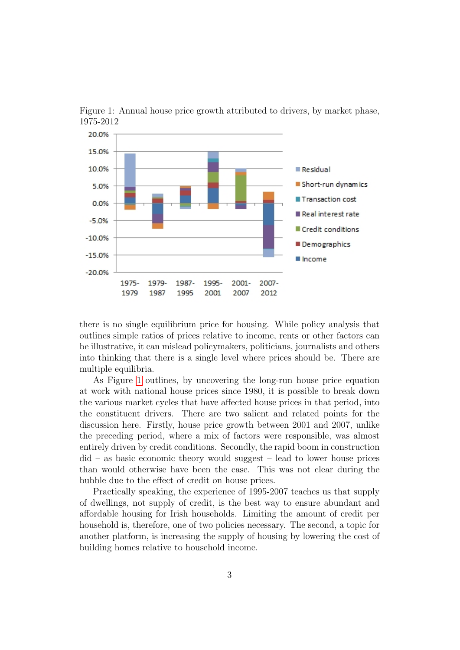

<span id="page-2-0"></span>Figure 1: Annual house price growth attributed to drivers, by market phase, 1975-2012

there is no single equilibrium price for housing. While policy analysis that outlines simple ratios of prices relative to income, rents or other factors can be illustrative, it can mislead policymakers, politicians, journalists and others into thinking that there is a single level where prices should be. There are multiple equilibria.

As Figure [1](#page-2-0) outlines, by uncovering the long-run house price equation at work with national house prices since 1980, it is possible to break down the various market cycles that have affected house prices in that period, into the constituent drivers. There are two salient and related points for the discussion here. Firstly, house price growth between 2001 and 2007, unlike the preceding period, where a mix of factors were responsible, was almost entirely driven by credit conditions. Secondly, the rapid boom in construction did – as basic economic theory would suggest – lead to lower house prices than would otherwise have been the case. This was not clear during the bubble due to the effect of credit on house prices.

Practically speaking, the experience of 1995-2007 teaches us that supply of dwellings, not supply of credit, is the best way to ensure abundant and affordable housing for Irish households. Limiting the amount of credit per household is, therefore, one of two policies necessary. The second, a topic for another platform, is increasing the supply of housing by lowering the cost of building homes relative to household income.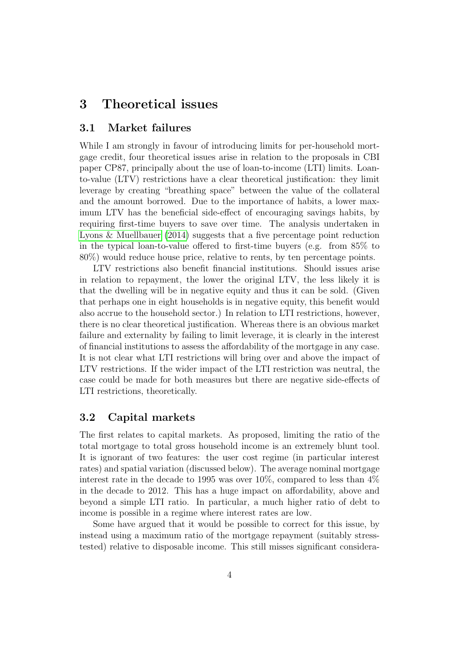## 3 Theoretical issues

#### 3.1 Market failures

While I am strongly in favour of introducing limits for per-household mortgage credit, four theoretical issues arise in relation to the proposals in CBI paper CP87, principally about the use of loan-to-income (LTI) limits. Loanto-value (LTV) restrictions have a clear theoretical justification: they limit leverage by creating "breathing space" between the value of the collateral and the amount borrowed. Due to the importance of habits, a lower maximum LTV has the beneficial side-effect of encouraging savings habits, by requiring first-time buyers to save over time. The analysis undertaken in [Lyons & Muellbauer](#page-7-2) [\(2014\)](#page-7-2) suggests that a five percentage point reduction in the typical loan-to-value offered to first-time buyers (e.g. from 85% to 80%) would reduce house price, relative to rents, by ten percentage points.

LTV restrictions also benefit financial institutions. Should issues arise in relation to repayment, the lower the original LTV, the less likely it is that the dwelling will be in negative equity and thus it can be sold. (Given that perhaps one in eight households is in negative equity, this benefit would also accrue to the household sector.) In relation to LTI restrictions, however, there is no clear theoretical justification. Whereas there is an obvious market failure and externality by failing to limit leverage, it is clearly in the interest of financial institutions to assess the affordability of the mortgage in any case. It is not clear what LTI restrictions will bring over and above the impact of LTV restrictions. If the wider impact of the LTI restriction was neutral, the case could be made for both measures but there are negative side-effects of LTI restrictions, theoretically.

#### 3.2 Capital markets

The first relates to capital markets. As proposed, limiting the ratio of the total mortgage to total gross household income is an extremely blunt tool. It is ignorant of two features: the user cost regime (in particular interest rates) and spatial variation (discussed below). The average nominal mortgage interest rate in the decade to 1995 was over 10%, compared to less than 4% in the decade to 2012. This has a huge impact on affordability, above and beyond a simple LTI ratio. In particular, a much higher ratio of debt to income is possible in a regime where interest rates are low.

Some have argued that it would be possible to correct for this issue, by instead using a maximum ratio of the mortgage repayment (suitably stresstested) relative to disposable income. This still misses significant considera-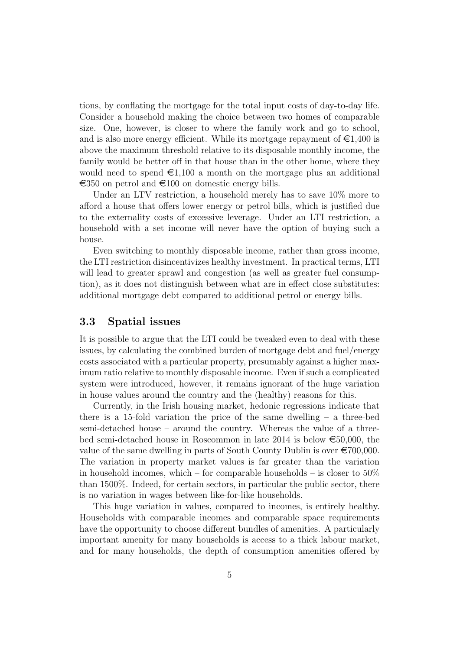tions, by conflating the mortgage for the total input costs of day-to-day life. Consider a household making the choice between two homes of comparable size. One, however, is closer to where the family work and go to school, and is also more energy efficient. While its mortgage repayment of  $\epsilon 1,400$  is above the maximum threshold relative to its disposable monthly income, the family would be better off in that house than in the other home, where they would need to spend  $\epsilon 1,100$  a month on the mortgage plus an additional  $\epsilon$ 350 on petrol and  $\epsilon$ 100 on domestic energy bills.

Under an LTV restriction, a household merely has to save 10% more to afford a house that offers lower energy or petrol bills, which is justified due to the externality costs of excessive leverage. Under an LTI restriction, a household with a set income will never have the option of buying such a house.

Even switching to monthly disposable income, rather than gross income, the LTI restriction disincentivizes healthy investment. In practical terms, LTI will lead to greater sprawl and congestion (as well as greater fuel consumption), as it does not distinguish between what are in effect close substitutes: additional mortgage debt compared to additional petrol or energy bills.

#### 3.3 Spatial issues

It is possible to argue that the LTI could be tweaked even to deal with these issues, by calculating the combined burden of mortgage debt and fuel/energy costs associated with a particular property, presumably against a higher maximum ratio relative to monthly disposable income. Even if such a complicated system were introduced, however, it remains ignorant of the huge variation in house values around the country and the (healthy) reasons for this.

Currently, in the Irish housing market, hedonic regressions indicate that there is a 15-fold variation the price of the same dwelling – a three-bed semi-detached house – around the country. Whereas the value of a threebed semi-detached house in Roscommon in late 2014 is below  $\epsilon$ 50,000, the value of the same dwelling in parts of South County Dublin is over  $\epsilon$ 700,000. The variation in property market values is far greater than the variation in household incomes, which – for comparable households – is closer to  $50\%$ than 1500%. Indeed, for certain sectors, in particular the public sector, there is no variation in wages between like-for-like households.

This huge variation in values, compared to incomes, is entirely healthy. Households with comparable incomes and comparable space requirements have the opportunity to choose different bundles of amenities. A particularly important amenity for many households is access to a thick labour market, and for many households, the depth of consumption amenities offered by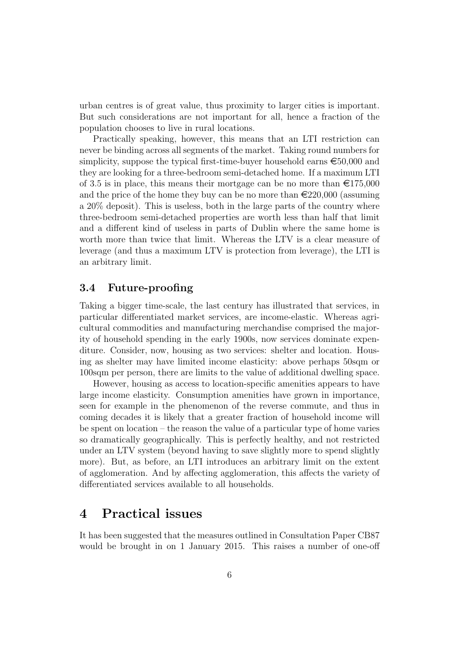urban centres is of great value, thus proximity to larger cities is important. But such considerations are not important for all, hence a fraction of the population chooses to live in rural locations.

Practically speaking, however, this means that an LTI restriction can never be binding across all segments of the market. Taking round numbers for simplicity, suppose the typical first-time-buyer household earns  $\epsilon$ 50,000 and they are looking for a three-bedroom semi-detached home. If a maximum LTI of 3.5 is in place, this means their mortgage can be no more than  $\epsilon$ 175,000 and the price of the home they buy can be no more than  $\epsilon$ 220,000 (assuming a 20% deposit). This is useless, both in the large parts of the country where three-bedroom semi-detached properties are worth less than half that limit and a different kind of useless in parts of Dublin where the same home is worth more than twice that limit. Whereas the LTV is a clear measure of leverage (and thus a maximum LTV is protection from leverage), the LTI is an arbitrary limit.

#### 3.4 Future-proofing

Taking a bigger time-scale, the last century has illustrated that services, in particular differentiated market services, are income-elastic. Whereas agricultural commodities and manufacturing merchandise comprised the majority of household spending in the early 1900s, now services dominate expenditure. Consider, now, housing as two services: shelter and location. Housing as shelter may have limited income elasticity: above perhaps 50sqm or 100sqm per person, there are limits to the value of additional dwelling space.

However, housing as access to location-specific amenities appears to have large income elasticity. Consumption amenities have grown in importance, seen for example in the phenomenon of the reverse commute, and thus in coming decades it is likely that a greater fraction of household income will be spent on location – the reason the value of a particular type of home varies so dramatically geographically. This is perfectly healthy, and not restricted under an LTV system (beyond having to save slightly more to spend slightly more). But, as before, an LTI introduces an arbitrary limit on the extent of agglomeration. And by affecting agglomeration, this affects the variety of differentiated services available to all households.

### 4 Practical issues

It has been suggested that the measures outlined in Consultation Paper CB87 would be brought in on 1 January 2015. This raises a number of one-off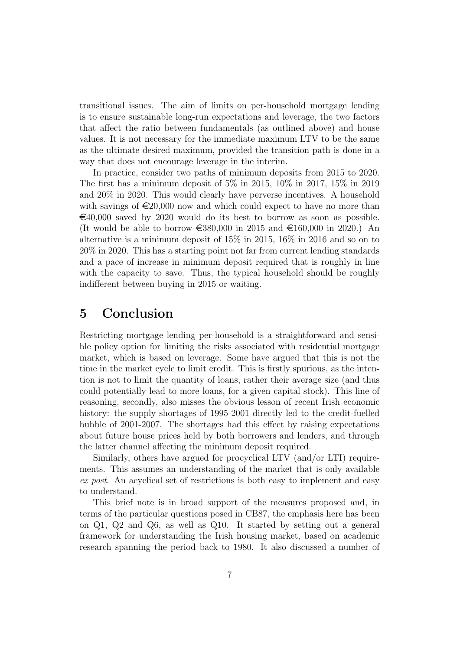transitional issues. The aim of limits on per-household mortgage lending is to ensure sustainable long-run expectations and leverage, the two factors that affect the ratio between fundamentals (as outlined above) and house values. It is not necessary for the immediate maximum LTV to be the same as the ultimate desired maximum, provided the transition path is done in a way that does not encourage leverage in the interim.

In practice, consider two paths of minimum deposits from 2015 to 2020. The first has a minimum deposit of  $5\%$  in 2015,  $10\%$  in 2017,  $15\%$  in 2019 and 20% in 2020. This would clearly have perverse incentives. A household with savings of  $\epsilon$ 20,000 now and which could expect to have no more than  $\epsilon$ 40,000 saved by 2020 would do its best to borrow as soon as possible. (It would be able to borrow  $\epsilon$ 380,000 in 2015 and  $\epsilon$ 160,000 in 2020.) An alternative is a minimum deposit of 15% in 2015, 16% in 2016 and so on to 20% in 2020. This has a starting point not far from current lending standards and a pace of increase in minimum deposit required that is roughly in line with the capacity to save. Thus, the typical household should be roughly indifferent between buying in 2015 or waiting.

## 5 Conclusion

Restricting mortgage lending per-household is a straightforward and sensible policy option for limiting the risks associated with residential mortgage market, which is based on leverage. Some have argued that this is not the time in the market cycle to limit credit. This is firstly spurious, as the intention is not to limit the quantity of loans, rather their average size (and thus could potentially lead to more loans, for a given capital stock). This line of reasoning, secondly, also misses the obvious lesson of recent Irish economic history: the supply shortages of 1995-2001 directly led to the credit-fuelled bubble of 2001-2007. The shortages had this effect by raising expectations about future house prices held by both borrowers and lenders, and through the latter channel affecting the minimum deposit required.

Similarly, others have argued for procyclical LTV (and/or LTI) requirements. This assumes an understanding of the market that is only available ex post. An acyclical set of restrictions is both easy to implement and easy to understand.

This brief note is in broad support of the measures proposed and, in terms of the particular questions posed in CB87, the emphasis here has been on Q1, Q2 and Q6, as well as Q10. It started by setting out a general framework for understanding the Irish housing market, based on academic research spanning the period back to 1980. It also discussed a number of